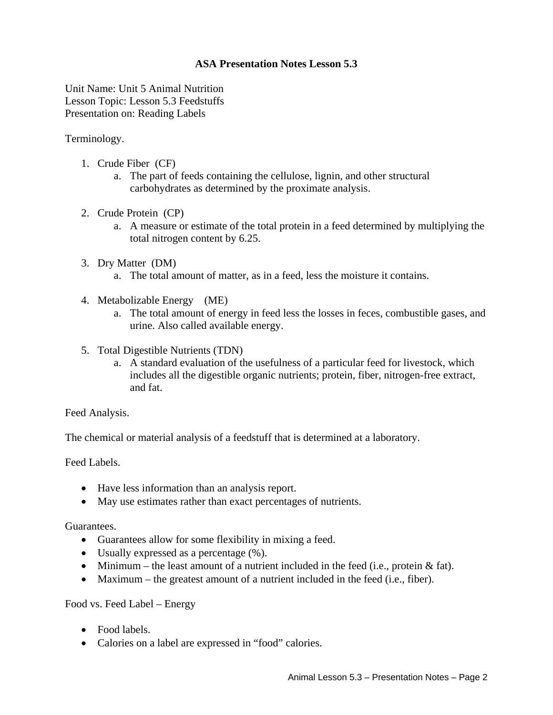## **ASA Presentation Notes Lesson 5.3**

Unit Name: Unit 5 Animal Nutrition Lesson Topic: Lesson 5.3 Feedstuffs Presentation on: Reading Labels

Terminology.

- 1. Crude Fiber (CF)
	- a. The part of feeds containing the cellulose, lignin, and other structural carbohydrates as determined by the proximate analysis.
- 2. Crude Protein (CP)
	- a. A measure or estimate of the total protein in a feed determined by multiplying the total nitrogen content by 6.25.
- 3. Dry Matter (DM)
	- a. The total amount of matter, as in a feed, less the moisture it contains.
- 4. Metabolizable Energy (ME)
	- a. The total amount of energy in feed less the losses in feces, combustible gases, and urine. Also called available energy.
- 5. Total Digestible Nutrients (TDN)
	- a. A standard evaluation of the usefulness of a particular feed for livestock, which includes all the digestible organic nutrients; protein, fiber, nitrogen-free extract, and fat.

Feed Analysis.

The chemical or material analysis of a feedstuff that is determined at a laboratory.

Feed Labels.

- Have less information than an analysis report.
- May use estimates rather than exact percentages of nutrients.

Guarantees.

- Guarantees allow for some flexibility in mixing a feed.
- Usually expressed as a percentage (%).
- Minimum the least amount of a nutrient included in the feed (i.e., protein  $&$  fat).
- Maximum the greatest amount of a nutrient included in the feed (i.e., fiber).

## Food vs. Feed Label – Energy

- Food labels.
- Calories on a label are expressed in "food" calories.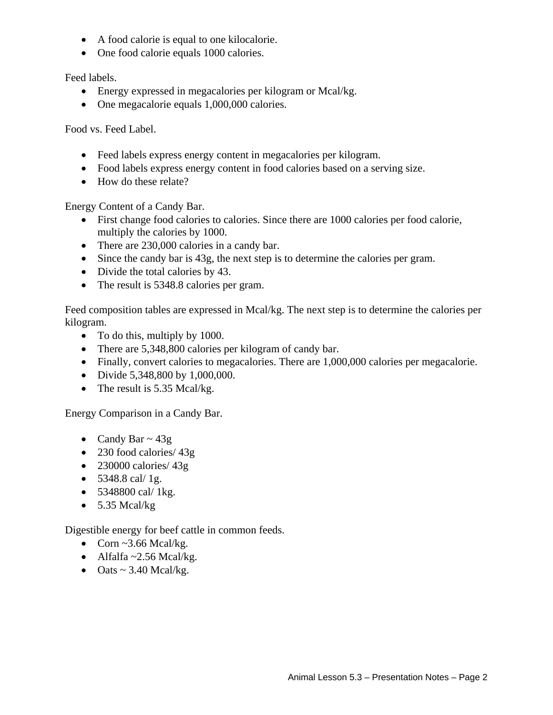- A food calorie is equal to one kilocalorie.
- One food calorie equals 1000 calories.

Feed labels.

- Energy expressed in megacalories per kilogram or Mcal/kg.
- One megacalorie equals 1,000,000 calories.

Food vs. Feed Label.

- Feed labels express energy content in megacalories per kilogram.
- Food labels express energy content in food calories based on a serving size.
- How do these relate?

Energy Content of a Candy Bar.

- First change food calories to calories. Since there are 1000 calories per food calorie, multiply the calories by 1000.
- There are 230,000 calories in a candy bar.
- Since the candy bar is 43g, the next step is to determine the calories per gram.
- Divide the total calories by 43.
- The result is 5348.8 calories per gram.

Feed composition tables are expressed in Mcal/kg. The next step is to determine the calories per kilogram.

- To do this, multiply by 1000.
- There are 5,348,800 calories per kilogram of candy bar.
- Finally, convert calories to megacalories. There are 1,000,000 calories per megacalorie.
- Divide 5,348,800 by 1,000,000.
- The result is 5.35 Mcal/kg.

Energy Comparison in a Candy Bar.

- Candy Bar  $\sim$  43g
- 230 food calories/ 43g
- 230000 calories/  $43g$
- $5348.8$  cal/ 1g.
- $5348800 \text{ cal/ } 1 \text{ kg.}$
- $\bullet$  5.35 Mcal/kg

Digestible energy for beef cattle in common feeds.

- Corn  $\sim$ 3.66 Mcal/kg.
- Alfalfa ~2.56 Mcal/kg.
- $\bullet$  Oats ~ 3.40 Mcal/kg.